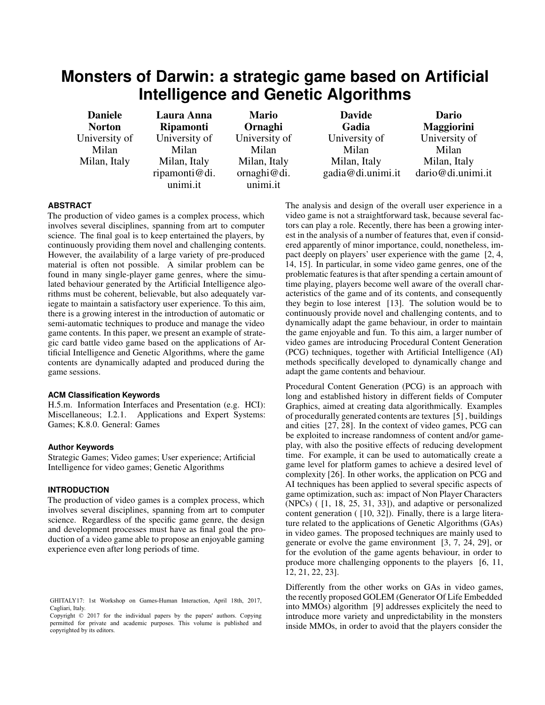# **Monsters of Darwin: a strategic game based on Artificial Intelligence and Genetic Algorithms**

Daniele **Norton** University of Milan Milan, Italy

Laura Anna Ripamonti University of Milan Milan, Italy ripamonti@di. unimi.it

Mario **Ornaghi** University of Milan Milan, Italy ornaghi@di. unimi.it

Davide Gadia University of Milan Milan, Italy gadia@di.unimi.it

Dario Maggiorini University of Milan Milan, Italy dario@di.unimi.it

# **ABSTRACT**

The production of video games is a complex process, which involves several disciplines, spanning from art to computer science. The final goal is to keep entertained the players, by continuously providing them novel and challenging contents. However, the availability of a large variety of pre-produced material is often not possible. A similar problem can be found in many single-player game genres, where the simulated behaviour generated by the Artificial Intelligence algorithms must be coherent, believable, but also adequately variegate to maintain a satisfactory user experience. To this aim, there is a growing interest in the introduction of automatic or semi-automatic techniques to produce and manage the video game contents. In this paper, we present an example of strategic card battle video game based on the applications of Artificial Intelligence and Genetic Algorithms, where the game contents are dynamically adapted and produced during the game sessions.

#### **ACM Classification Keywords**

H.5.m. Information Interfaces and Presentation (e.g. HCI): Miscellaneous; I.2.1. Applications and Expert Systems: Games; K.8.0. General: Games

## **Author Keywords**

Strategic Games; Video games; User experience; Artificial Intelligence for video games; Genetic Algorithms

# **INTRODUCTION**

The production of video games is a complex process, which involves several disciplines, spanning from art to computer science. Regardless of the specific game genre, the design and development processes must have as final goal the production of a video game able to propose an enjoyable gaming experience even after long periods of time.

The analysis and design of the overall user experience in a video game is not a straightforward task, because several factors can play a role. Recently, there has been a growing interest in the analysis of a number of features that, even if considered apparently of minor importance, could, nonetheless, impact deeply on players' user experience with the game [\[2,](#page-4-0) [4,](#page-4-1) [14,](#page-5-0) [15\]](#page-5-1). In particular, in some video game genres, one of the problematic features is that after spending a certain amount of time playing, players become well aware of the overall characteristics of the game and of its contents, and consequently they begin to lose interest [\[13\]](#page-5-2). The solution would be to continuously provide novel and challenging contents, and to dynamically adapt the game behaviour, in order to maintain the game enjoyable and fun. To this aim, a larger number of video games are introducing Procedural Content Generation (PCG) techniques, together with Artificial Intelligence (AI) methods specifically developed to dynamically change and adapt the game contents and behaviour.

Procedural Content Generation (PCG) is an approach with long and established history in different fields of Computer Graphics, aimed at creating data algorithmically. Examples of procedurally generated contents are textures [\[5\]](#page-4-2) , buildings and cities [\[27,](#page-5-3) [28\]](#page-5-4). In the context of video games, PCG can be exploited to increase randomness of content and/or gameplay, with also the positive effects of reducing development time. For example, it can be used to automatically create a game level for platform games to achieve a desired level of complexity [\[26\]](#page-5-5). In other works, the application on PCG and AI techniques has been applied to several specific aspects of game optimization, such as: impact of Non Player Characters (NPCs) ( [\[1,](#page-4-3) [18,](#page-5-6) [25,](#page-5-7) [31,](#page-5-8) [33\]](#page-5-9)), and adaptive or personalized content generation ( [\[10,](#page-4-4) [32\]](#page-5-10)). Finally, there is a large literature related to the applications of Genetic Algorithms (GAs) in video games. The proposed techniques are mainly used to generate or evolve the game environment [\[3,](#page-4-5) [7,](#page-4-6) [24,](#page-5-11) [29\]](#page-5-12), or for the evolution of the game agents behaviour, in order to produce more challenging opponents to the players [\[6,](#page-4-7) [11,](#page-4-8) [12,](#page-5-13) [21,](#page-5-14) [22,](#page-5-15) [23\]](#page-5-16).

Differently from the other works on GAs in video games, the recently proposed GOLEM (Generator Of Life Embedded into MMOs) algorithm [\[9\]](#page-4-9) addresses explicitely the need to introduce more variety and unpredictability in the monsters inside MMOs, in order to avoid that the players consider the

GHITALY17: 1st Workshop on Games-Human Interaction, April 18th, 2017, Cagliari, Italy.

Copyright  $\odot$  2017 for the individual papers by the papers' authors. Copying Copyright  $© 2017$  for the individual papers by the papers' authors. Copying permitted for private and academic purposes. This volume is published and copyrighted by its editors.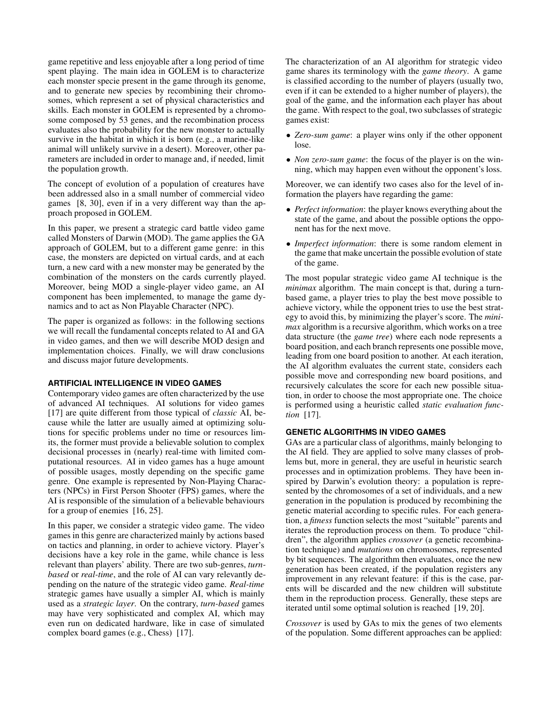game repetitive and less enjoyable after a long period of time spent playing. The main idea in GOLEM is to characterize each monster specie present in the game through its genome, and to generate new species by recombining their chromosomes, which represent a set of physical characteristics and skills. Each monster in GOLEM is represented by a chromosome composed by 53 genes, and the recombination process evaluates also the probability for the new monster to actually survive in the habitat in which it is born (e.g., a marine-like animal will unlikely survive in a desert). Moreover, other parameters are included in order to manage and, if needed, limit the population growth.

The concept of evolution of a population of creatures have been addressed also in a small number of commercial video games [\[8,](#page-4-10) [30\]](#page-5-17), even if in a very different way than the approach proposed in GOLEM.

In this paper, we present a strategic card battle video game called Monsters of Darwin (MOD). The game applies the GA approach of GOLEM, but to a different game genre: in this case, the monsters are depicted on virtual cards, and at each turn, a new card with a new monster may be generated by the combination of the monsters on the cards currently played. Moreover, being MOD a single-player video game, an AI component has been implemented, to manage the game dynamics and to act as Non Playable Character (NPC).

The paper is organized as follows: in the following sections we will recall the fundamental concepts related to AI and GA in video games, and then we will describe MOD design and implementation choices. Finally, we will draw conclusions and discuss major future developments.

#### **ARTIFICIAL INTELLIGENCE IN VIDEO GAMES**

Contemporary video games are often characterized by the use of advanced AI techniques. AI solutions for video games [\[17\]](#page-5-18) are quite different from those typical of *classic* AI, because while the latter are usually aimed at optimizing solutions for specific problems under no time or resources limits, the former must provide a believable solution to complex decisional processes in (nearly) real-time with limited computational resources. AI in video games has a huge amount of possible usages, mostly depending on the specific game genre. One example is represented by Non-Playing Characters (NPCs) in First Person Shooter (FPS) games, where the AI is responsible of the simulation of a believable behaviours for a group of enemies [\[16,](#page-5-19) [25\]](#page-5-7).

In this paper, we consider a strategic video game. The video games in this genre are characterized mainly by actions based on tactics and planning, in order to achieve victory. Player's decisions have a key role in the game, while chance is less relevant than players' ability. There are two sub-genres, *turnbased* or *real-time*, and the role of AI can vary relevantly depending on the nature of the strategic video game. *Real-time* strategic games have usually a simpler AI, which is mainly used as a *strategic layer*. On the contrary, *turn-based* games may have very sophisticated and complex AI, which may even run on dedicated hardware, like in case of simulated complex board games (e.g., Chess) [\[17\]](#page-5-18).

The characterization of an AI algorithm for strategic video game shares its terminology with the *game theory*. A game is classified according to the number of players (usually two, even if it can be extended to a higher number of players), the goal of the game, and the information each player has about the game. With respect to the goal, two subclasses of strategic games exist:

- *Zero-sum game*: a player wins only if the other opponent lose.
- *Non zero-sum game*: the focus of the player is on the winning, which may happen even without the opponent's loss.

Moreover, we can identify two cases also for the level of information the players have regarding the game:

- *Perfect information*: the player knows everything about the state of the game, and about the possible options the opponent has for the next move.
- *Imperfect information*: there is some random element in the game that make uncertain the possible evolution of state of the game.

The most popular strategic video game AI technique is the *minimax* algorithm. The main concept is that, during a turnbased game, a player tries to play the best move possible to achieve victory, while the opponent tries to use the best strategy to avoid this, by minimizing the player's score. The *minimax* algorithm is a recursive algorithm, which works on a tree data structure (the *game tree*) where each node represents a board position, and each branch represents one possible move, leading from one board position to another. At each iteration, the AI algorithm evaluates the current state, considers each possible move and corresponding new board positions, and recursively calculates the score for each new possible situation, in order to choose the most appropriate one. The choice is performed using a heuristic called *static evaluation function* [\[17\]](#page-5-18).

#### **GENETIC ALGORITHMS IN VIDEO GAMES**

GAs are a particular class of algorithms, mainly belonging to the AI field. They are applied to solve many classes of problems but, more in general, they are useful in heuristic search processes and in optimization problems. They have been inspired by Darwin's evolution theory: a population is represented by the chromosomes of a set of individuals, and a new generation in the population is produced by recombining the genetic material according to specific rules. For each generation, a *fitness* function selects the most "suitable" parents and iterates the reproduction process on them. To produce "children", the algorithm applies *crossover* (a genetic recombination technique) and *mutations* on chromosomes, represented by bit sequences. The algorithm then evaluates, once the new generation has been created, if the population registers any improvement in any relevant feature: if this is the case, parents will be discarded and the new children will substitute them in the reproduction process. Generally, these steps are iterated until some optimal solution is reached [\[19,](#page-5-20) [20\]](#page-5-21).

*Crossover* is used by GAs to mix the genes of two elements of the population. Some different approaches can be applied: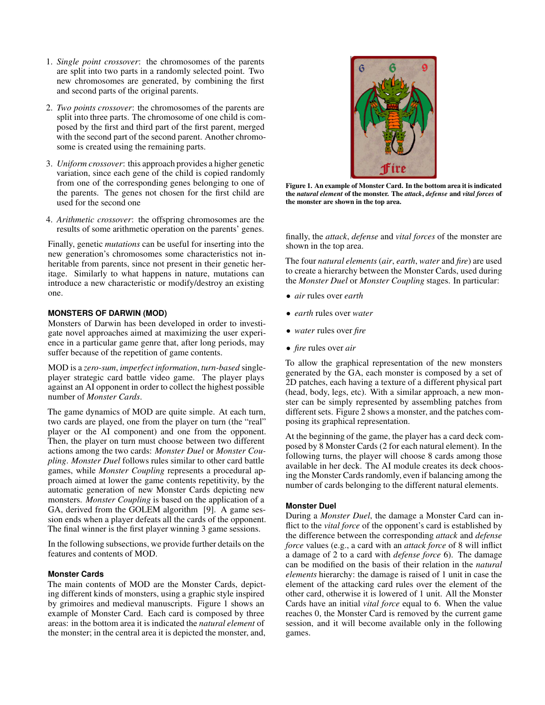- 1. *Single point crossover*: the chromosomes of the parents are split into two parts in a randomly selected point. Two new chromosomes are generated, by combining the first and second parts of the original parents.
- 2. *Two points crossover*: the chromosomes of the parents are split into three parts. The chromosome of one child is composed by the first and third part of the first parent, merged with the second part of the second parent. Another chromosome is created using the remaining parts.
- 3. *Uniform crossover*: this approach provides a higher genetic variation, since each gene of the child is copied randomly from one of the corresponding genes belonging to one of the parents. The genes not chosen for the first child are used for the second one
- 4. *Arithmetic crossover*: the offspring chromosomes are the results of some arithmetic operation on the parents' genes.

Finally, genetic *mutations* can be useful for inserting into the new generation's chromosomes some characteristics not inheritable from parents, since not present in their genetic heritage. Similarly to what happens in nature, mutations can introduce a new characteristic or modify/destroy an existing one.

## **MONSTERS OF DARWIN (MOD)**

Monsters of Darwin has been developed in order to investigate novel approaches aimed at maximizing the user experience in a particular game genre that, after long periods, may suffer because of the repetition of game contents.

MOD is a *zero-sum*, *imperfect information*, *turn-based* singleplayer strategic card battle video game. The player plays against an AI opponent in order to collect the highest possible number of *Monster Cards*.

The game dynamics of MOD are quite simple. At each turn, two cards are played, one from the player on turn (the "real" player or the AI component) and one from the opponent. Then, the player on turn must choose between two different actions among the two cards: *Monster Duel* or *Monster Coupling*. *Monster Duel* follows rules similar to other card battle games, while *Monster Coupling* represents a procedural approach aimed at lower the game contents repetitivity, by the automatic generation of new Monster Cards depicting new monsters. *Monster Coupling* is based on the application of a GA, derived from the GOLEM algorithm [\[9\]](#page-4-9). A game session ends when a player defeats all the cards of the opponent. The final winner is the first player winning 3 game sessions.

In the following subsections, we provide further details on the features and contents of MOD.

#### **Monster Cards**

The main contents of MOD are the Monster Cards, depicting different kinds of monsters, using a graphic style inspired by grimoires and medieval manuscripts. Figure [1](#page-2-0) shows an example of Monster Card. Each card is composed by three areas: in the bottom area it is indicated the *natural element* of the monster; in the central area it is depicted the monster, and,



Figure 1. An example of Monster Card. In the bottom area it is indicated the *natural element* of the monster. The *attack*, *defense* and *vital forces* of the monster are shown in the top area.

<span id="page-2-0"></span>finally, the *attack*, *defense* and *vital forces* of the monster are shown in the top area.

The four *natural elements* (*air*, *earth*, *water* and *fire*) are used to create a hierarchy between the Monster Cards, used during the *Monster Duel* or *Monster Coupling* stages. In particular:

- *air* rules over *earth*
- *earth* rules over *water*
- *water* rules over *fire*
- *fire* rules over *air*

To allow the graphical representation of the new monsters generated by the GA, each monster is composed by a set of 2D patches, each having a texture of a different physical part (head, body, legs, etc). With a similar approach, a new monster can be simply represented by assembling patches from different sets. Figure [2](#page-3-0) shows a monster, and the patches composing its graphical representation.

At the beginning of the game, the player has a card deck composed by 8 Monster Cards (2 for each natural element). In the following turns, the player will choose 8 cards among those available in her deck. The AI module creates its deck choosing the Monster Cards randomly, even if balancing among the number of cards belonging to the different natural elements.

## **Monster Duel**

During a *Monster Duel*, the damage a Monster Card can inflict to the *vital force* of the opponent's card is established by the difference between the corresponding *attack* and *defense force* values (e.g., a card with an *attack force* of 8 will inflict a damage of 2 to a card with *defense force* 6). The damage can be modified on the basis of their relation in the *natural elements* hierarchy: the damage is raised of 1 unit in case the element of the attacking card rules over the element of the other card, otherwise it is lowered of 1 unit. All the Monster Cards have an initial *vital force* equal to 6. When the value reaches 0, the Monster Card is removed by the current game session, and it will become available only in the following games.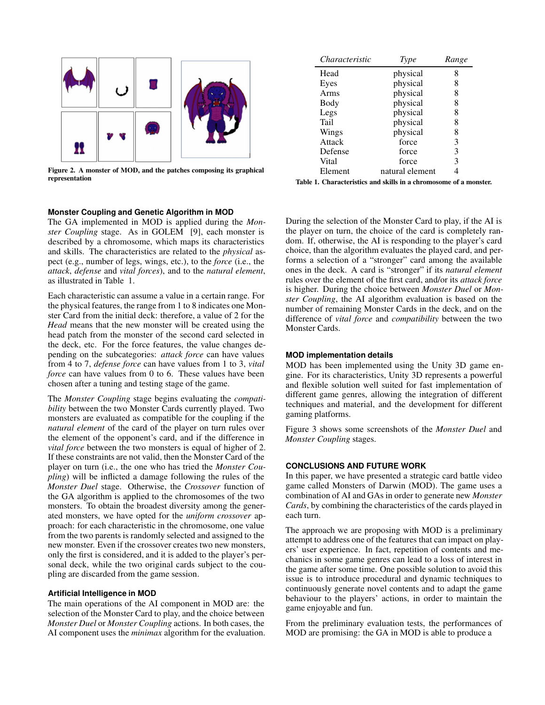

<span id="page-3-0"></span>Figure 2. A monster of MOD, and the patches composing its graphical representation

## **Monster Coupling and Genetic Algorithm in MOD**

The GA implemented in MOD is applied during the *Monster Coupling* stage. As in GOLEM [\[9\]](#page-4-9), each monster is described by a chromosome, which maps its characteristics and skills. The characteristics are related to the *physical* aspect (e.g., number of legs, wings, etc.), to the *force* (i.e., the *attack*, *defense* and *vital forces*), and to the *natural element*, as illustrated in Table [1.](#page-3-1)

Each characteristic can assume a value in a certain range. For the physical features, the range from 1 to 8 indicates one Monster Card from the initial deck: therefore, a value of 2 for the *Head* means that the new monster will be created using the head patch from the monster of the second card selected in the deck, etc. For the force features, the value changes depending on the subcategories: *attack force* can have values from 4 to 7, *defense force* can have values from 1 to 3, *vital force* can have values from 0 to 6. These values have been chosen after a tuning and testing stage of the game.

The *Monster Coupling* stage begins evaluating the *compatibility* between the two Monster Cards currently played. Two monsters are evaluated as compatible for the coupling if the *natural element* of the card of the player on turn rules over the element of the opponent's card, and if the difference in *vital force* between the two monsters is equal of higher of 2. If these constraints are not valid, then the Monster Card of the player on turn (i.e., the one who has tried the *Monster Coupling*) will be inflicted a damage following the rules of the *Monster Duel* stage. Otherwise, the *Crossover* function of the GA algorithm is applied to the chromosomes of the two monsters. To obtain the broadest diversity among the generated monsters, we have opted for the *uniform crossover* approach: for each characteristic in the chromosome, one value from the two parents is randomly selected and assigned to the new monster. Even if the crossover creates two new monsters, only the first is considered, and it is added to the player's personal deck, while the two original cards subject to the coupling are discarded from the game session.

#### **Artificial Intelligence in MOD**

The main operations of the AI component in MOD are: the selection of the Monster Card to play, and the choice between *Monster Duel* or *Monster Coupling* actions. In both cases, the AI component uses the *minimax* algorithm for the evaluation.

| Characteristic | Type            | Range |
|----------------|-----------------|-------|
| Head           | physical        | 8     |
| Eyes           | physical        | 8     |
| Arms           | physical        | 8     |
| Body           | physical        | 8     |
| Legs           | physical        | 8     |
| Tail           | physical        | 8     |
| Wings          | physical        | 8     |
| Attack         | force           | 3     |
| Defense        | force           | 3     |
| Vital          | force           | 3     |
| Element        | natural element |       |

<span id="page-3-1"></span>Table 1. Characteristics and skills in a chromosome of a monster.

During the selection of the Monster Card to play, if the AI is the player on turn, the choice of the card is completely random. If, otherwise, the AI is responding to the player's card choice, than the algorithm evaluates the played card, and performs a selection of a "stronger" card among the available ones in the deck. A card is "stronger" if its *natural element* rules over the element of the first card, and/or its *attack force* is higher. During the choice between *Monster Duel* or *Monster Coupling*, the AI algorithm evaluation is based on the number of remaining Monster Cards in the deck, and on the difference of *vital force* and *compatibility* between the two Monster Cards.

#### **MOD implementation details**

MOD has been implemented using the Unity 3D game engine. For its characteristics, Unity 3D represents a powerful and flexible solution well suited for fast implementation of different game genres, allowing the integration of different techniques and material, and the development for different gaming platforms.

Figure [3](#page-4-11) shows some screenshots of the *Monster Duel* and *Monster Coupling* stages.

#### **CONCLUSIONS AND FUTURE WORK**

In this paper, we have presented a strategic card battle video game called Monsters of Darwin (MOD). The game uses a combination of AI and GAs in order to generate new *Monster Cards*, by combining the characteristics of the cards played in each turn.

The approach we are proposing with MOD is a preliminary attempt to address one of the features that can impact on players' user experience. In fact, repetition of contents and mechanics in some game genres can lead to a loss of interest in the game after some time. One possible solution to avoid this issue is to introduce procedural and dynamic techniques to continuously generate novel contents and to adapt the game behaviour to the players' actions, in order to maintain the game enjoyable and fun.

From the preliminary evaluation tests, the performances of MOD are promising: the GA in MOD is able to produce a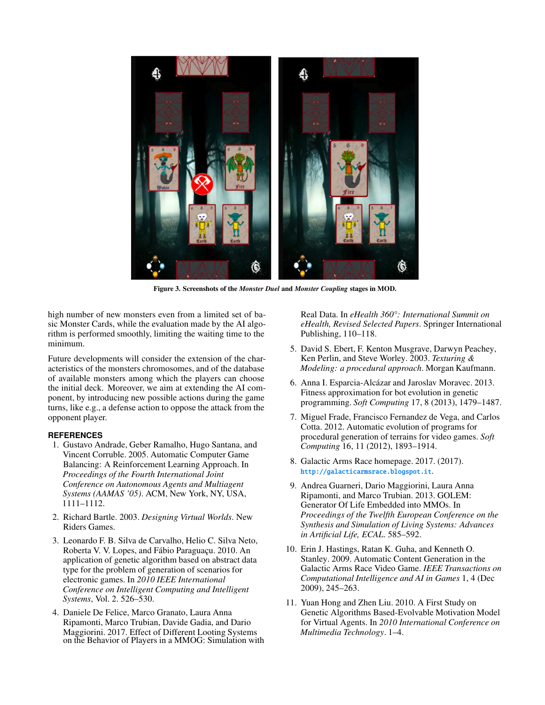

Figure 3. Screenshots of the *Monster Duel* and *Monster Coupling* stages in MOD.

high number of new monsters even from a limited set of basic Monster Cards, while the evaluation made by the AI algorithm is performed smoothly, limiting the waiting time to the minimum.

Future developments will consider the extension of the characteristics of the monsters chromosomes, and of the database of available monsters among which the players can choose the initial deck. Moreover, we aim at extending the AI component, by introducing new possible actions during the game turns, like e.g., a defense action to oppose the attack from the opponent player.

# <span id="page-4-3"></span>**REFERENCES**

- 1. Gustavo Andrade, Geber Ramalho, Hugo Santana, and Vincent Corruble. 2005. Automatic Computer Game Balancing: A Reinforcement Learning Approach. In *Proceedings of the Fourth International Joint Conference on Autonomous Agents and Multiagent Systems (AAMAS '05)*. ACM, New York, NY, USA, 1111–1112.
- <span id="page-4-5"></span><span id="page-4-0"></span>2. Richard Bartle. 2003. *Designing Virtual Worlds*. New Riders Games.
- 3. Leonardo F. B. Silva de Carvalho, Helio C. Silva Neto, Roberta V. V. Lopes, and Fábio Paraguaçu. 2010. An application of genetic algorithm based on abstract data type for the problem of generation of scenarios for electronic games. In *2010 IEEE International Conference on Intelligent Computing and Intelligent Systems*, Vol. 2. 526–530.
- <span id="page-4-1"></span>4. Daniele De Felice, Marco Granato, Laura Anna Ripamonti, Marco Trubian, Davide Gadia, and Dario Maggiorini. 2017. Effect of Different Looting Systems on the Behavior of Players in a MMOG: Simulation with

Real Data. In *eHealth 360°: International Summit on eHealth, Revised Selected Papers*. Springer International Publishing, 110–118.

- <span id="page-4-11"></span><span id="page-4-2"></span>5. David S. Ebert, F. Kenton Musgrave, Darwyn Peachey, Ken Perlin, and Steve Worley. 2003. *Texturing & Modeling: a procedural approach*. Morgan Kaufmann.
- <span id="page-4-7"></span>6. Anna I. Esparcia-Alcázar and Jaroslav Moravec. 2013. Fitness approximation for bot evolution in genetic programming. *Soft Computing* 17, 8 (2013), 1479–1487.
- <span id="page-4-6"></span>7. Miguel Frade, Francisco Fernandez de Vega, and Carlos Cotta. 2012. Automatic evolution of programs for procedural generation of terrains for video games. *Soft Computing* 16, 11 (2012), 1893–1914.
- <span id="page-4-10"></span>8. Galactic Arms Race homepage. 2017. (2017). http://galacticarmsrace.blogspot.it.
- <span id="page-4-9"></span>9. Andrea Guarneri, Dario Maggiorini, Laura Anna Ripamonti, and Marco Trubian. 2013. GOLEM: Generator Of Life Embedded into MMOs. In *Proceedings of the Twelfth European Conference on the Synthesis and Simulation of Living Systems: Advances in Artificial Life, ECAL*. 585–592.
- <span id="page-4-4"></span>10. Erin J. Hastings, Ratan K. Guha, and Kenneth O. Stanley. 2009. Automatic Content Generation in the Galactic Arms Race Video Game. *IEEE Transactions on Computational Intelligence and AI in Games* 1, 4 (Dec 2009), 245–263.
- <span id="page-4-8"></span>11. Yuan Hong and Zhen Liu. 2010. A First Study on Genetic Algorithms Based-Evolvable Motivation Model for Virtual Agents. In *2010 International Conference on Multimedia Technology*. 1–4.